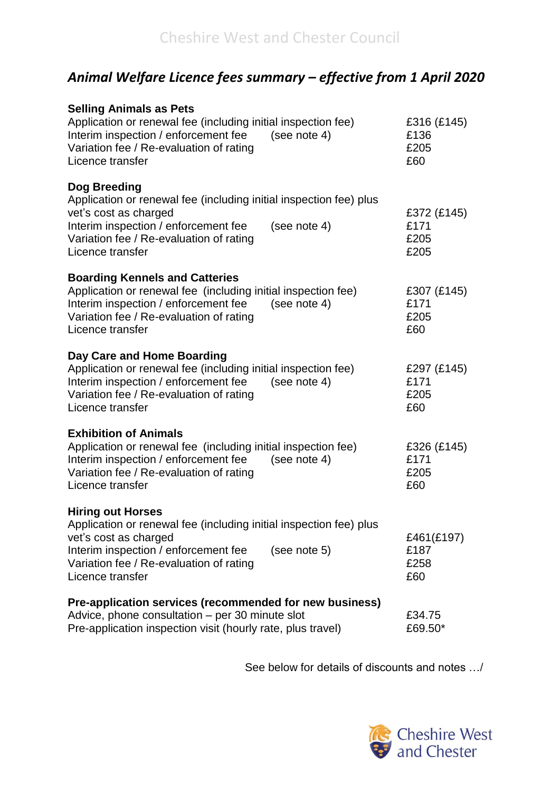## *Animal Welfare Licence fees summary – effective from 1 April 2020*

| <b>Selling Animals as Pets</b><br>Application or renewal fee (including initial inspection fee)<br>Interim inspection / enforcement fee<br>(see note 4)<br>Variation fee / Re-evaluation of rating<br>Licence transfer                         | £316 (£145)<br>£136<br>£205<br>£60  |
|------------------------------------------------------------------------------------------------------------------------------------------------------------------------------------------------------------------------------------------------|-------------------------------------|
| Dog Breeding<br>Application or renewal fee (including initial inspection fee) plus<br>vet's cost as charged<br>Interim inspection / enforcement fee<br>(see note 4)<br>Variation fee / Re-evaluation of rating<br>Licence transfer             | £372 (£145)<br>£171<br>£205<br>£205 |
| <b>Boarding Kennels and Catteries</b><br>Application or renewal fee (including initial inspection fee)<br>Interim inspection / enforcement fee<br>(see note 4)<br>Variation fee / Re-evaluation of rating<br>Licence transfer                  | £307 (£145)<br>£171<br>£205<br>£60  |
| Day Care and Home Boarding<br>Application or renewal fee (including initial inspection fee)<br>Interim inspection / enforcement fee<br>(see note 4)<br>Variation fee / Re-evaluation of rating<br>Licence transfer                             | £297 (£145)<br>£171<br>£205<br>£60  |
| <b>Exhibition of Animals</b><br>Application or renewal fee (including initial inspection fee)<br>Interim inspection / enforcement fee<br>(see note $4$ )<br>Variation fee / Re-evaluation of rating<br>Licence transfer                        | £326 (£145)<br>£171<br>£205<br>£60  |
| <b>Hiring out Horses</b><br>Application or renewal fee (including initial inspection fee) plus<br>vet's cost as charged<br>Interim inspection / enforcement fee<br>(see note 5)<br>Variation fee / Re-evaluation of rating<br>Licence transfer | £461(£197)<br>£187<br>£258<br>£60   |
| Pre-application services (recommended for new business)<br>Advice, phone consultation - per 30 minute slot<br>Pre-application inspection visit (hourly rate, plus travel)                                                                      | £34.75<br>£69.50*                   |

See below for details of discounts and notes …/